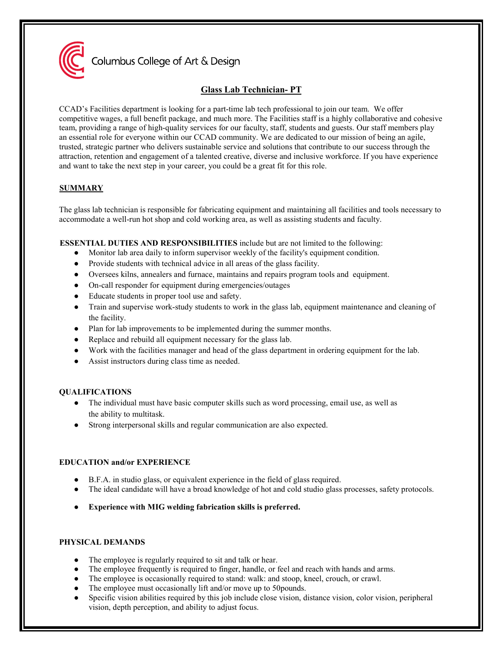

Columbus College of Art & Design

# **Glass Lab Technician- PT**

CCAD's Facilities department is looking for a part-time lab tech professional to join our team. We offer competitive wages, a full benefit package, and much more. The Facilities staff is a highly collaborative and cohesive team, providing a range of high-quality services for our faculty, staff, students and guests. Our staff members play an essential role for everyone within our CCAD community. We are dedicated to our mission of being an agile, trusted, strategic partner who delivers sustainable service and solutions that contribute to our success through the attraction, retention and engagement of a talented creative, diverse and inclusive workforce. If you have experience and want to take the next step in your career, you could be a great fit for this role.

# **SUMMARY**

The glass lab technician is responsible for fabricating equipment and maintaining all facilities and tools necessary to accommodate a well-run hot shop and cold working area, as well as assisting students and faculty.

**ESSENTIAL DUTIES AND RESPONSIBILITIES** include but are not limited to the following:

- Monitor lab area daily to inform supervisor weekly of the facility's equipment condition.
- Provide students with technical advice in all areas of the glass facility.
- Oversees kilns, annealers and furnace, maintains and repairs program tools and equipment.
- On-call responder for equipment during emergencies/outages
- Educate students in proper tool use and safety.
- Train and supervise work-study students to work in the glass lab, equipment maintenance and cleaning of the facility.
- Plan for lab improvements to be implemented during the summer months.
- Replace and rebuild all equipment necessary for the glass lab.
- Work with the facilities manager and head of the glass department in ordering equipment for the lab.
- Assist instructors during class time as needed.

# **QUALIFICATIONS**

- The individual must have basic computer skills such as word processing, email use, as well as the ability to multitask.
- Strong interpersonal skills and regular communication are also expected.

# **EDUCATION and/or EXPERIENCE**

- B.F.A. in studio glass, or equivalent experience in the field of glass required.
- The ideal candidate will have a broad knowledge of hot and cold studio glass processes, safety protocols.
- **Experience with MIG welding fabrication skills is preferred.**

# **PHYSICAL DEMANDS**

- The employee is regularly required to sit and talk or hear.
- The employee frequently is required to finger, handle, or feel and reach with hands and arms.
- The employee is occasionally required to stand: walk: and stoop, kneel, crouch, or crawl.
- The employee must occasionally lift and/or move up to 50 pounds.
- Specific vision abilities required by this job include close vision, distance vision, color vision, peripheral vision, depth perception, and ability to adjust focus.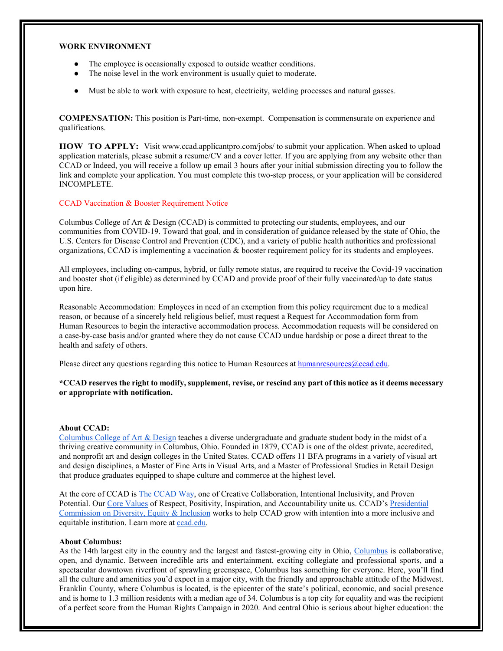### **WORK ENVIRONMENT**

- The employee is occasionally exposed to outside weather conditions.
- The noise level in the work environment is usually quiet to moderate.
- Must be able to work with exposure to heat, electricity, welding processes and natural gasses.

**COMPENSATION:** This position is Part-time, non-exempt. Compensation is commensurate on experience and qualifications.

**HOW TO APPLY:** Visit [www.ccad.applicantpro.com/jobs/ t](http://www.ccad.applicantpro.com/jobs/)o submit your application. When asked to upload application materials, please submit a resume/CV and a cover letter. If you are applying from any website other than CCAD or Indeed, you will receive a follow up email 3 hours after your initial submission directing you to follow the link and complete your application. You must complete this two-step process, or your application will be considered INCOMPLETE.

## CCAD Vaccination & Booster Requirement Notice

Columbus College of Art & Design (CCAD) is committed to protecting our students, employees, and our communities from COVID-19. Toward that goal, and in consideration of guidance released by the state of Ohio, the U.S. Centers for Disease Control and Prevention (CDC), and a variety of public health authorities and professional organizations, CCAD is implementing a vaccination & booster requirement policy for its students and employees.

All employees, including on-campus, hybrid, or fully remote status, are required to receive the Covid-19 vaccination and booster shot (if eligible) as determined by CCAD and provide proof of their fully vaccinated/up to date status upon hire.

Reasonable Accommodation: Employees in need of an exemption from this policy requirement due to a medical reason, or because of a sincerely held religious belief, must request a Request for Accommodation form from Human Resources to begin the interactive accommodation process. Accommodation requests will be considered on a case-by-case basis and/or granted where they do not cause CCAD undue hardship or pose a direct threat to the health and safety of others.

Please direct any questions regarding this notice to Human Resources at human resources @ccad.edu.

## **\*CCAD reserves the right to modify, supplement, revise, or rescind any part of this notice as it deems necessary or appropriate with notification.**

## **About CCAD:**

[Columbus College of Art & Design](https://www.ccad.edu/) teaches a diverse undergraduate and graduate student body in the midst of a thriving creative community in Columbus, Ohio. Founded in 1879, CCAD is one of the oldest private, accredited, and nonprofit art and design colleges in the United States. CCAD offers 11 BFA programs in a variety of visual art and design disciplines, a Master of Fine Arts in Visual Arts, and a Master of Professional Studies in Retail Design that produce graduates equipped to shape culture and commerce at the highest level.

At the core of CCAD is [The CCAD Way,](https://www.ccad.edu/theccadway) one of Creative Collaboration, Intentional Inclusivity, and Proven Potential. Our [Core Values](https://www.ccad.edu/about-us/mission-statement) of Respect, Positivity, Inspiration, and Accountability unite us. CCAD'[s Presidential](https://www.ccad.edu/presidential-commission-diversity-equity-inclusion)  [Commission on Diversity, Equity & Inclusion](https://www.ccad.edu/presidential-commission-diversity-equity-inclusion) works to help CCAD grow with intention into a more inclusive and equitable institution. Learn more at [ccad.edu.](http://ccad.edu/)

#### **About Columbus:**

As the 14th largest city in the country and the largest and fastest-growing city in Ohio, [Columbus](https://www.experiencecolumbus.com/) is collaborative, open, and dynamic. Between incredible arts and entertainment, exciting collegiate and professional sports, and a spectacular downtown riverfront of sprawling greenspace, Columbus has something for everyone. Here, you'll find all the culture and amenities you'd expect in a major city, with the friendly and approachable attitude of the Midwest. Franklin County, where Columbus is located, is the epicenter of the state's political, economic, and social presence and is home to 1.3 million residents with a median age of 34. Columbus is a top city for equality and was the recipient of a perfect score from the Human Rights Campaign in 2020. And central Ohio is serious about higher education: the